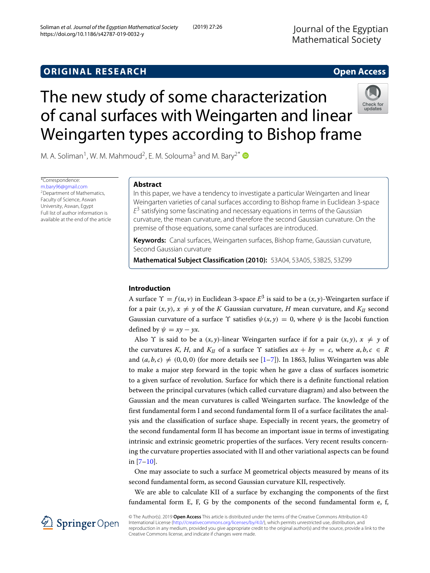# The new study of some characterization of canal surfaces with Weingarten and linear Weingarten types according to Bishop frame



M. A. Soliman<sup>1</sup>, W. M. Mahmoud<sup>2</sup>, E. M. Solouma<sup>3</sup> and M. Bary<sup>2\*</sup>

\*Correspondence: [m.bary96@gmail.com](mailto: m.bary96@gmail.com) 2Department of Mathematics, Faculty of Science, Aswan University, Aswan, Egypt Full list of author information is available at the end of the article

## **Abstract**

In this paper, we have a tendency to investigate a particular Weingarten and linear Weingarten varieties of canal surfaces according to Bishop frame in Euclidean 3-space  $E<sup>3</sup>$  satisfying some fascinating and necessary equations in terms of the Gaussian curvature, the mean curvature, and therefore the second Gaussian curvature. On the premise of those equations, some canal surfaces are introduced.

**Keywords:** Canal surfaces, Weingarten surfaces, Bishop frame, Gaussian curvature, Second Gaussian curvature

**Mathematical Subject Classification (2010):** 53A04, 53A05, 53B25, 53Z99

## **Introduction**

A surface  $\Upsilon = f(u, v)$  in Euclidean 3-space  $E^3$  is said to be a  $(x, y)$ -Weingarten surface if for a pair  $(x, y)$ ,  $x \neq y$  of the *K* Gaussian curvature, *H* mean curvature, and  $K_{II}$  second Gaussian curvature of a surface  $\Upsilon$  satisfies  $\psi(x, y) = 0$ , where  $\psi$  is the Jacobi function defined by  $\psi = xy - yx$ .

Also  $\Upsilon$  is said to be a  $(x, y)$ -linear Weingarten surface if for a pair  $(x, y)$ ,  $x \neq y$  of the curvatures *K*, *H*, and *K<sub>II</sub>* of a surface  $\Upsilon$  satisfies  $ax + by = c$ , where  $a, b, c \in R$ and  $(a, b, c) \neq (0, 0, 0)$  (for more details see [\[1–](#page-16-0)[7\]](#page-16-1)). In 1863, Julius Weingarten was able to make a major step forward in the topic when he gave a class of surfaces isometric to a given surface of revolution. Surface for which there is a definite functional relation between the principal curvatures (which called curvature diagram) and also between the Gaussian and the mean curvatures is called Weingarten surface. The knowledge of the first fundamental form I and second fundamental form II of a surface facilitates the analysis and the classification of surface shape. Especially in recent years, the geometry of the second fundamental form II has become an important issue in terms of investigating intrinsic and extrinsic geometric properties of the surfaces. Very recent results concerning the curvature properties associated with II and other variational aspects can be found in [\[7–](#page-16-1)[10\]](#page-16-2).

One may associate to such a surface M geometrical objects measured by means of its second fundamental form, as second Gaussian curvature KII, respectively.

We are able to calculate KII of a surface by exchanging the components of the first fundamental form E, F, G by the components of the second fundamental form e, f,



© The Author(s). 2019 **Open Access** This article is distributed under the terms of the Creative Commons Attribution 4.0 International License [\(http://creativecommons.org/licenses/by/4.0/\)](http://creativecommons.org/licenses/by/4.0/), which permits unrestricted use, distribution, and reproduction in any medium, provided you give appropriate credit to the original author(s) and the source, provide a link to the Creative Commons license, and indicate if changes were made.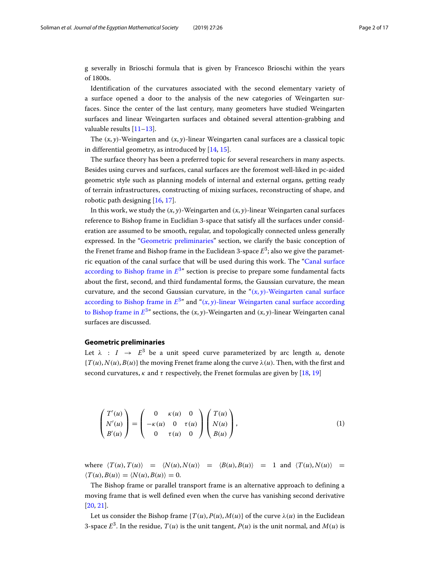g severally in Brioschi formula that is given by Francesco Brioschi within the years of 1800s.

Identification of the curvatures associated with the second elementary variety of a surface opened a door to the analysis of the new categories of Weingarten surfaces. Since the center of the last century, many geometers have studied Weingarten surfaces and linear Weingarten surfaces and obtained several attention-grabbing and valuable results [\[11](#page-16-3)-13].

The  $(x, y)$ -Weingarten and  $(x, y)$ -linear Weingarten canal surfaces are a classical topic in differential geometry, as introduced by [\[14,](#page-16-5) [15\]](#page-16-6).

The surface theory has been a preferred topic for several researchers in many aspects. Besides using curves and surfaces, canal surfaces are the foremost well-liked in pc-aided geometric style such as planning models of internal and external organs, getting ready of terrain infrastructures, constructing of mixing surfaces, reconstructing of shape, and robotic path designing [\[16,](#page-16-7) [17\]](#page-16-8).

In this work, we study the  $(x, y)$ -Weingarten and  $(x, y)$ -linear Weingarten canal surfaces reference to Bishop frame in Euclidian 3-space that satisfy all the surfaces under consideration are assumed to be smooth, regular, and topologically connected unless generally expressed. In the ["Geometric preliminaries"](#page-1-0) section, we clarify the basic conception of the Frenet frame and Bishop frame in the Euclidean 3-space  $E<sup>3</sup>$ ; also we give the parametric equation of the canal surface that will be used during this work. The ["Canal surface](#page-2-0) [according to Bishop frame in](#page-2-0)  $E^{3n}$  section is precise to prepare some fundamental facts about the first, second, and third fundamental forms, the Gaussian curvature, the mean curvature, and the second Gaussian curvature, in the " $(x, y)$ [-Weingarten canal surface](#page-6-0) [according to Bishop frame in](#page-6-0)  $E^{3n}$  and " $(x, y)$ [-linear Weingarten canal surface according](#page-9-0) [to Bishop frame in](#page-9-0)  $E^{3}$ " sections, the  $(x, y)$ -Weingarten and  $(x, y)$ -linear Weingarten canal surfaces are discussed.

## <span id="page-1-0"></span>**Geometric preliminaries**

Let  $\lambda$  :  $I \rightarrow E^3$  be a unit speed curve parameterized by arc length *u*, denote  ${T(u), N(u), B(u)}$  the moving Frenet frame along the curve  $\lambda(u)$ . Then, with the first and second curvatures,  $\kappa$  and  $\tau$  respectively, the Frenet formulas are given by [\[18,](#page-16-9) [19\]](#page-16-10)

$$
\begin{pmatrix} T'(u) \\ N'(u) \\ B'(u) \end{pmatrix} = \begin{pmatrix} 0 & \kappa(u) & 0 \\ -\kappa(u) & 0 & \tau(u) \\ 0 & \tau(u) & 0 \end{pmatrix} \begin{pmatrix} T(u) \\ N(u) \\ B(u) \end{pmatrix}, \tag{1}
$$

where  $\langle T(u), T(u) \rangle = \langle N(u), N(u) \rangle = \langle B(u), B(u) \rangle = 1$  and  $\langle T(u), N(u) \rangle = 1$  $\langle T(u), B(u) \rangle = \langle N(u), B(u) \rangle = 0.$ 

The Bishop frame or parallel transport frame is an alternative approach to defining a moving frame that is well defined even when the curve has vanishing second derivative [\[20,](#page-16-11) [21\]](#page-16-12).

Let us consider the Bishop frame  $\{T(u), P(u), M(u)\}$  of the curve  $\lambda(u)$  in the Euclidean 3-space  $E^3$ . In the residue,  $T(u)$  is the unit tangent,  $P(u)$  is the unit normal, and  $M(u)$  is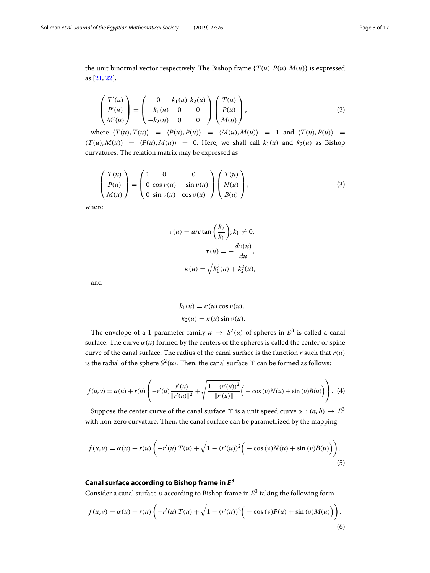<span id="page-2-1"></span>the unit binormal vector respectively. The Bishop frame  $\{T(u), P(u), M(u)\}$  is expressed as [\[21,](#page-16-12) [22\]](#page-16-13).

$$
\begin{pmatrix} T'(u) \\ P'(u) \\ M'(u) \end{pmatrix} = \begin{pmatrix} 0 & k_1(u) & k_2(u) \\ -k_1(u) & 0 & 0 \\ -k_2(u) & 0 & 0 \end{pmatrix} \begin{pmatrix} T(u) \\ P(u) \\ M(u) \end{pmatrix},
$$
(2)

where  $\langle T(u), T(u) \rangle = \langle P(u), P(u) \rangle = \langle M(u), M(u) \rangle = 1$  and  $\langle T(u), P(u) \rangle = 1$  $\langle T(u), M(u) \rangle = \langle P(u), M(u) \rangle = 0$ . Here, we shall call  $k_1(u)$  and  $k_2(u)$  as Bishop curvatures. The relation matrix may be expressed as

$$
\begin{pmatrix} T(u) \\ P(u) \\ M(u) \end{pmatrix} = \begin{pmatrix} 1 & 0 & 0 \\ 0 & \cos v(u) & -\sin v(u) \\ 0 & \sin v(u) & \cos v(u) \end{pmatrix} \begin{pmatrix} T(u) \\ N(u) \\ B(u) \end{pmatrix},
$$
(3)

where

$$
v(u) = \arctan\left(\frac{k_2}{k_1}\right); k_1 \neq 0,
$$
  

$$
\tau(u) = -\frac{dv(u)}{du},
$$
  

$$
\kappa(u) = \sqrt{k_1^2(u) + k_2^2(u)},
$$

and

<span id="page-2-2"></span>
$$
k_1(u) = \kappa(u) \cos \nu(u),
$$
  

$$
k_2(u) = \kappa(u) \sin \nu(u).
$$

The envelope of a 1-parameter family  $u \to S^2(u)$  of spheres in  $E^3$  is called a canal surface. The curve  $\alpha(u)$  formed by the centers of the spheres is called the center or spine curve of the canal surface. The radius of the canal surface is the function *r* such that *r*(*u*) is the radial of the sphere  $S^2(u)$ . Then, the canal surface  $\Upsilon$  can be formed as follows:

$$
f(u,v) = \alpha(u) + r(u) \left( -r'(u) \frac{r'(u)}{\|r'(u)\|^2} + \sqrt{\frac{1 - (r'(u))^2}{\|r'(u)\|}} \left( -\cos(v)N(u) + \sin(v)B(u) \right) \right). \tag{4}
$$

Suppose the center curve of the canal surface  $\Upsilon$  is a unit speed curve  $\alpha : (a, b) \to E^3$ with non-zero curvature. Then, the canal surface can be parametrized by the mapping

$$
f(u,v) = \alpha(u) + r(u) \left( -r'(u) T(u) + \sqrt{1 - (r'(u))^2} \Big( -\cos(v) N(u) + \sin(v) B(u) \Big) \right).
$$
\n(5)

## **Canal surface according to Bishop frame in** *E***<sup>3</sup>**

<span id="page-2-0"></span>Consider a canal surface υ according to Bishop frame in *E*<sup>3</sup> taking the following form

$$
f(u,v) = \alpha(u) + r(u) \left( -r'(u) T(u) + \sqrt{1 - (r'(u))^2} \Big( -\cos(v) P(u) + \sin(v) M(u) \Big) \right).
$$
\n(6)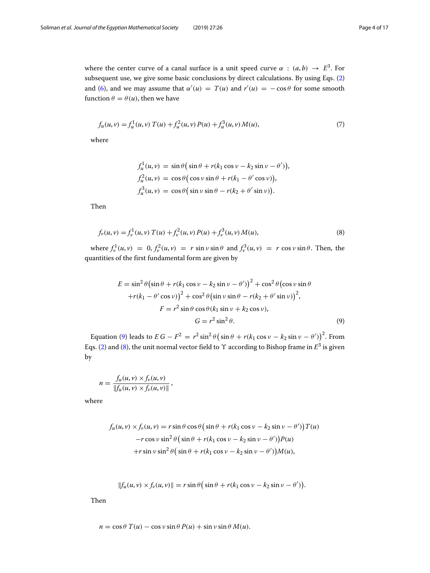where the center curve of a canal surface is a unit speed curve  $\alpha$  :  $(a, b) \rightarrow E^3$ . For subsequent use, we give some basic conclusions by direct calculations. By using Eqs. [\(2\)](#page-2-1) and [\(6\)](#page-2-2), and we may assume that  $\alpha'(u) = T(u)$  and  $r'(u) = -\cos\theta$  for some smooth function  $\theta = \theta(u)$ , then we have

$$
f_u(u,v) = f_u^1(u,v) T(u) + f_u^2(u,v) P(u) + f_u^3(u,v) M(u),
$$
\n(7)

where

$$
f_u^1(u, v) = \sin \theta \left( \sin \theta + r(k_1 \cos v - k_2 \sin v - \theta') \right),
$$
  
\n
$$
f_u^2(u, v) = \cos \theta \left( \cos v \sin \theta + r(k_1 - \theta' \cos v) \right),
$$
  
\n
$$
f_u^3(u, v) = \cos \theta \left( \sin v \sin \theta - r(k_2 + \theta' \sin v) \right).
$$

<span id="page-3-1"></span>Then

$$
f_{\nu}(u,\nu) = f_{\nu}^{1}(u,\nu) T(u) + f_{\nu}^{2}(u,\nu) P(u) + f_{\nu}^{3}(u,\nu) M(u), \qquad (8)
$$

where  $f_v^1(u, v) = 0$ ,  $f_v^2(u, v) = r \sin v \sin \theta$  and  $f_v^3(u, v) = r \cos v \sin \theta$ . Then, the quantities of the first fundamental form are given by

<span id="page-3-0"></span>
$$
E = \sin^2 \theta \left(\sin \theta + r(k_1 \cos \nu - k_2 \sin \nu - \theta')\right)^2 + \cos^2 \theta \left(\cos \nu \sin \theta + r(k_1 - \theta' \cos \nu)\right)^2 + \cos^2 \theta \left(\sin \nu \sin \theta - r(k_2 + \theta' \sin \nu)\right)^2,
$$
  

$$
F = r^2 \sin \theta \cos \theta (k_1 \sin \nu + k_2 \cos \nu),
$$
  

$$
G = r^2 \sin^2 \theta.
$$
 (9)

Equation [\(9\)](#page-3-0) leads to  $EG - F^2 = r^2 \sin^2 \theta \left( \sin \theta + r(k_1 \cos \nu - k_2 \sin \nu - \theta') \right)^2$ . From Eqs. [\(2\)](#page-2-1) and [\(8\)](#page-3-1), the unit normal vector field to  $\Upsilon$  according to Bishop frame in  $E^3$  is given by

$$
n = \frac{f_u(u, v) \times f_v(u, v)}{\|f_u(u, v) \times f_v(u, v)\|},
$$

where

$$
f_u(u, v) \times f_v(u, v) = r \sin \theta \cos \theta \left( \sin \theta + r(k_1 \cos v - k_2 \sin v - \theta') \right) T(u)
$$
  
-r cos v sin<sup>2</sup>  $\theta \left( \sin \theta + r(k_1 \cos v - k_2 \sin v - \theta') \right) P(u)$   
+r sin v sin<sup>2</sup>  $\theta \left( \sin \theta + r(k_1 \cos v - k_2 \sin v - \theta') \right) M(u),$ 

$$
||f_u(u,v) \times f_v(u,v)|| = r \sin \theta \left( \sin \theta + r(k_1 \cos v - k_2 \sin v - \theta') \right).
$$

Then

$$
n = \cos \theta \ T(u) - \cos \nu \sin \theta \ P(u) + \sin \nu \sin \theta \ M(u).
$$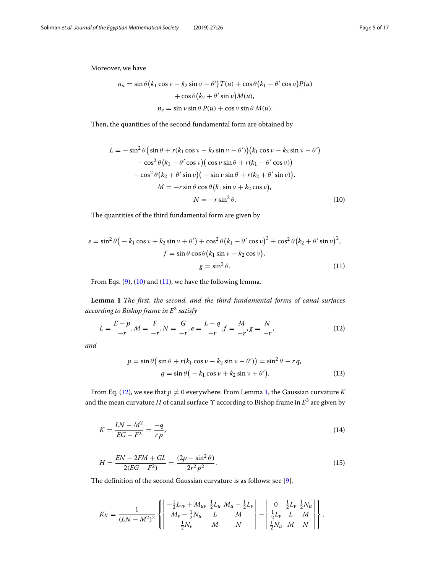Moreover, we have

$$
n_u = \sin \theta (k_1 \cos \nu - k_2 \sin \nu - \theta') T(u) + \cos \theta (k_1 - \theta' \cos \nu) P(u)
$$

$$
+ \cos \theta (k_2 + \theta' \sin \nu) M(u),
$$

$$
n_v = \sin \nu \sin \theta P(u) + \cos \nu \sin \theta M(u).
$$

Then, the quantities of the second fundamental form are obtained by

<span id="page-4-0"></span>
$$
L = -\sin^2\theta\left(\sin\theta + r(k_1\cos v - k_2\sin v - \theta')\right)(k_1\cos v - k_2\sin v - \theta')
$$
  
\n
$$
-\cos^2\theta\left(k_1 - \theta'\cos v\right)\left(\cos v\sin\theta + r(k_1 - \theta'\cos v)\right)
$$
  
\n
$$
-\cos^2\theta\left(k_2 + \theta'\sin v\right)\left(-\sin v\sin\theta + r(k_2 + \theta'\sin v)\right),
$$
  
\n
$$
M = -r\sin\theta\cos\theta\left(k_1\sin v + k_2\cos v\right),
$$
  
\n
$$
N = -r\sin^2\theta.
$$
 (10)

The quantities of the third fundamental form are given by

<span id="page-4-1"></span>
$$
e = \sin^2 \theta \left( -k_1 \cos \nu + k_2 \sin \nu + \theta' \right) + \cos^2 \theta \left( k_1 - \theta' \cos \nu \right)^2 + \cos^2 \theta \left( k_2 + \theta' \sin \nu \right)^2,
$$
  

$$
f = \sin \theta \cos \theta \left( k_1 \sin \nu + k_2 \cos \nu \right),
$$
  

$$
g = \sin^2 \theta.
$$
 (11)

From Eqs.  $(9)$ ,  $(10)$  and  $(11)$ , we have the following lemma.

<span id="page-4-3"></span>**Lemma 1** *The first, the second, and the third fundamental forms of canal surfaces according to Bishop frame in E*<sup>3</sup> *satisfy*

$$
L = \frac{E - p}{-r}, M = \frac{F}{-r}, N = \frac{G}{-r}, e = \frac{L - q}{-r}, f = \frac{M}{-r}, g = \frac{N}{-r},
$$
(12)

*and*

<span id="page-4-4"></span><span id="page-4-2"></span>
$$
p = \sin \theta \left( \sin \theta + r(k_1 \cos \nu - k_2 \sin \nu - \theta') \right) = \sin^2 \theta - r q,
$$
  

$$
q = \sin \theta \left( -k_1 \cos \nu + k_2 \sin \nu + \theta' \right).
$$
 (13)

<span id="page-4-6"></span>From Eq. [\(12\)](#page-4-2), we see that  $p \neq 0$  everywhere. From Lemma [1,](#page-4-3) the Gaussian curvature *K* and the mean curvature *H* of canal surface  $\Upsilon$  according to Bishop frame in  $E^3$  are given by

<span id="page-4-5"></span>
$$
K = \frac{LN - M^2}{EG - F^2} = \frac{-q}{rp},\tag{14}
$$

$$
H = \frac{EN - 2FM + GL}{2(EG - F^2)} = \frac{(2p - \sin^2 \theta)}{2r^2 p^2}.
$$
\n(15)

The definition of the second Gaussian curvature is as follows: see [\[9\]](#page-16-14).

$$
K_{II} = \frac{1}{(LN - M^2)^2} \left\{ \begin{vmatrix} -\frac{1}{2}L_{\nu\nu} + M_{\mu\nu} & \frac{1}{2}L_{\mu} & M_{\mu} - \frac{1}{2}L_{\nu} \\ M_{\nu} - \frac{1}{2}N_{\mu} & L & M \\ \frac{1}{2}N_{\nu} & M & N \end{vmatrix} - \begin{vmatrix} 0 & \frac{1}{2}L_{\nu} & \frac{1}{2}N_{\mu} \\ \frac{1}{2}L_{\nu} & L & M \\ \frac{1}{2}N_{\mu} & M & N \end{vmatrix} \right\}.
$$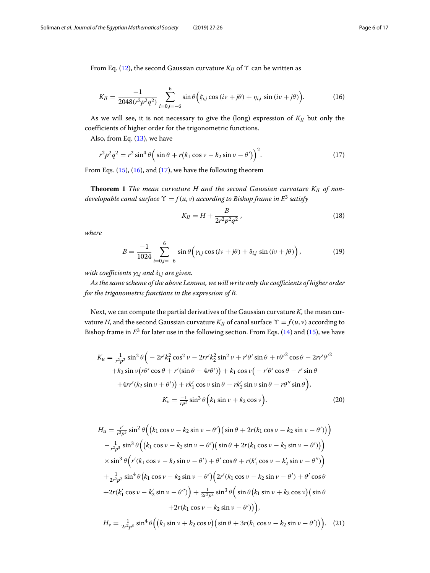<span id="page-5-0"></span>From Eq. [\(12\)](#page-4-2), the second Gaussian curvature  $K_{II}$  of  $\Upsilon$  can be written as

$$
K_{II} = \frac{-1}{2048(r^2p^2q^2)} \sum_{i=0,j=-6}^{6} \sin \theta \Big( \xi_{i,j} \cos(i\nu+j\theta) + \eta_{i,j} \sin(i\nu+j\theta) \Big). \tag{16}
$$

As we will see, it is not necessary to give the (long) expression of *KII* but only the coefficients of higher order for the trigonometric functions.

Also, from Eq.  $(13)$ , we have

$$
r^2 p^2 q^2 = r^2 \sin^4 \theta \left( \sin \theta + r \left( k_1 \cos \nu - k_2 \sin \nu - \theta' \right) \right)^2. \tag{17}
$$

From Eqs.  $(15)$ ,  $(16)$ , and  $(17)$ , we have the following theorem

**Theorem 1** *The mean curvature H and the second Gaussian curvature KII of nondevelopable canal surface*  $\Upsilon = f(u, v)$  *according to Bishop frame in E<sup>3</sup> satisfy* 

<span id="page-5-5"></span><span id="page-5-1"></span>
$$
K_{II} = H + \frac{B}{2r^2p^2q^2},\tag{18}
$$

*where*

<span id="page-5-4"></span>
$$
B = \frac{-1}{1024} \sum_{i=0,j=-6}^{6} \sin \theta \left( \gamma_{i,j} \cos (iv + j\theta) + \delta_{i,j} \sin (iv + j\theta) \right),
$$
 (19)

*with coefficients*  $\gamma_{i,j}$  *and*  $\delta_{i,j}$  *are given.* 

*As the same scheme of the above Lemma, we will write only the coefficients of higher order for the trigonometric functions in the expression of B.*

Next, we can compute the partial derivatives of the Gaussian curvature *K*, the mean curvature *H*, and the second Gaussian curvature  $K_{II}$  of canal surface  $\Upsilon = f(u, v)$  according to Bishop frame in  $E<sup>3</sup>$  for later use in the following section. From Eqs. [\(14\)](#page-4-6) and [\(15\)](#page-4-5), we have

<span id="page-5-2"></span>
$$
K_{u} = \frac{1}{r^{2}p^{2}} \sin^{2} \theta \left( -2r' k_{1}^{2} \cos^{2} \nu - 2rr' k_{2}^{2} \sin^{2} \nu + r' \theta' \sin \theta + r \theta'^{2} \cos \theta - 2rr' \theta'^{2} \right.
$$
  
\n
$$
+ k_{2} \sin \nu (r \theta' \cos \theta + r' (\sin \theta - 4r \theta')) + k_{1} \cos \nu \left( -r' \theta' \cos \theta - r' \sin \theta \right)
$$
  
\n
$$
+ 4rr' (k_{2} \sin \nu + \theta')) + rk'_{1} \cos \nu \sin \theta - rk'_{2} \sin \nu \sin \theta - r \theta'' \sin \theta ),
$$
  
\n
$$
K_{v} = \frac{-1}{rp^{2}} \sin^{3} \theta \left( k_{1} \sin \nu + k_{2} \cos \nu \right).
$$
 (20)

<span id="page-5-3"></span>
$$
H_u = \frac{r'}{r^3 p^3} \sin^2 \theta \Big( \Big( k_1 \cos \nu - k_2 \sin \nu - \theta' \Big) \Big( \sin \theta + 2r(k_1 \cos \nu - k_2 \sin \nu - \theta' \Big) \Big) - \frac{1}{r^2 p^3} \sin^3 \theta \Big( \Big( k_1 \cos \nu - k_2 \sin \nu - \theta' \Big) \Big( \sin \theta + 2r(k_1 \cos \nu - k_2 \sin \nu - \theta' \Big) \Big) \times \sin^3 \theta \Big( r'(k_1 \cos \nu - k_2 \sin \nu - \theta') + \theta' \cos \theta + r(k'_1 \cos \nu - k'_2 \sin \nu - \theta' \Big) + \frac{1}{2r^2 p^2} \sin^4 \theta \Big( k_1 \cos \nu - k_2 \sin \nu - \theta' \Big) \Big( 2r'(k_1 \cos \nu - k_2 \sin \nu - \theta') + \theta' \cos \theta + 2r(k'_1 \cos \nu - k'_2 \sin \nu - \theta'') \Big) + \frac{1}{2r^2 p^2} \sin^3 \theta \Big( \sin \theta \Big( k_1 \sin \nu + k_2 \cos \nu \Big) \Big( \sin \theta + 2r(k_1 \cos \nu - k_2 \sin \nu - \theta' \Big) \Big),
$$

$$
H_{\nu} = \frac{1}{2r^2p^3} \sin^4 \theta \Big( \big( k_1 \sin \nu + k_2 \cos \nu \big) \big( \sin \theta + 3r(k_1 \cos \nu - k_2 \sin \nu - \theta') \big) \Big). \tag{21}
$$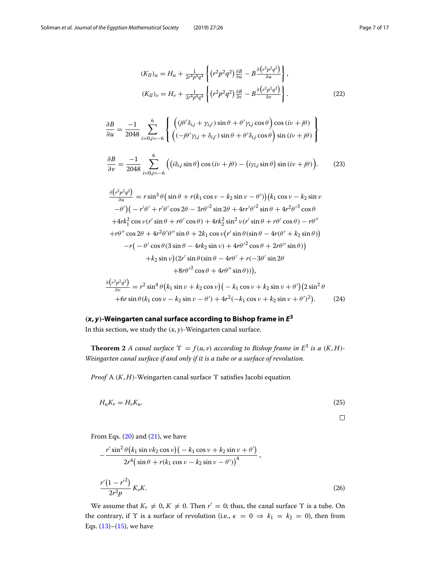<span id="page-6-2"></span>
$$
(K_{II})_u = H_u + \frac{1}{2r^4p^4q^4} \left\{ \left( r^2p^2q^2 \right) \frac{\partial B}{\partial u} - B \frac{\partial \left( r^2p^2q^2 \right)}{\partial u} \right\},\
$$

$$
(K_{II})_\nu = H_\nu + \frac{1}{2r^4p^4q^4} \left\{ \left( r^2p^2q^2 \right) \frac{\partial B}{\partial \nu} - B \frac{\partial \left( r^2p^2q^2 \right)}{\partial \nu} \right\}.
$$

$$
(22)
$$

$$
\frac{\partial B}{\partial u} = \frac{-1}{2048} \sum_{i=0,j=-6}^{6} \left\{ \begin{array}{l} \left( (j\theta'\delta_{i,j} + \gamma_{i,j'})\sin\theta + \theta'\gamma_{i,j}\cos\theta \right)\cos\left(i\nu + j\theta\right) \\ \left( (-j\theta'\gamma_{i,j} + \delta_{i,j'})\sin\theta + \theta'\delta_{i,j}\cos\theta \right)\sin\left(i\nu + j\theta\right) \end{array} \right\}
$$

<span id="page-6-4"></span>
$$
\frac{\partial B}{\partial \nu} = \frac{-1}{2048} \sum_{i=0,j=-6}^{6} \left( \left( i \delta_{i,j} \sin \theta \right) \cos \left( i \nu + j \theta \right) - \left( i \gamma_{i,j} \sin \theta \right) \sin \left( i \nu + j \theta \right) \right). \tag{23}
$$

<span id="page-6-3"></span>
$$
\frac{\partial (r^2 p^2 q^2)}{\partial u} = r \sin^3 \theta \left( \sin \theta + r(k_1 \cos \nu - k_2 \sin \nu - \theta') \right) (k_1 \cos \nu - k_2 \sin \nu - \theta') \left( -r' \theta' + r' \theta' \cos 2\theta - 3r \theta'^2 \sin 2\theta + 4rr' \theta'^2 \sin \theta + 4r^2 \theta'^3 \cos \theta' \right)
$$
  
+4r k<sub>1</sub><sup>2</sup> cos \nu (r' sin \theta + r \theta' cos \theta) + 4r k<sub>2</sub><sup>2</sup> sin<sup>2</sup> \nu (r' sin \theta + r \theta' cos \theta) - r \theta''  
+r \theta'' cos 2\theta + 4r^2 \theta' \theta'' sin \theta + 2k\_1 \cos \nu (r' sin \theta (sin \theta - 4r(\theta' + k\_2 \sin \theta)))  
-r(-\theta' cos \theta (3 sin \theta - 4r k\_2 sin \nu) + 4r \theta'^2 cos \theta + 2r \theta'' sin \theta))  
+k\_2 sin \nu (2r' sin \theta (sin \theta - 4r \theta' + r(-3\theta' sin 2\theta  
+8r \theta'^2 cos \theta + 4r \theta'' sin \theta))),  
(3.3.9)

$$
\frac{\partial (r^2 p^2 q^2)}{\partial v} = r^2 \sin^4 \theta \left( k_1 \sin v + k_2 \cos v \right) \left( -k_1 \cos v + k_2 \sin v + \theta' \right) \left( 2 \sin^2 \theta + 6r \sin \theta \left( k_1 \cos v - k_2 \sin v - \theta' \right) + 4r^2 \left( -k_1 \cos v + k_2 \sin v + \theta' \right)^2 \right). \tag{24}
$$

## $(x, y)$ -Weingarten canal surface according to Bishop frame in  $E^3$

<span id="page-6-0"></span>In this section, we study the  $(x, y)$ -Weingarten canal surface.

**Theorem 2** *A canal surface*  $\Upsilon = f(u, v)$  *according to Bishop frame in*  $E^3$  *is a*  $(K, H)$ -*Weingarten canal surface if and only if it is a tube or a surface of revolution.*

<span id="page-6-1"></span>*Proof* A (*K*, *H*)-Weingarten canal surface Υ satisfies Jacobi equation

$$
H_u K_v = H_v K_u. \tag{25}
$$

$$
\Box
$$

From Eqs.  $(20)$  and  $(21)$ , we have

$$
-\frac{r' \sin^2 \theta (k_1 \sin \nu k_2 \cos \nu) (-k_1 \cos \nu + k_2 \sin \nu + \theta')}{2r^4 (\sin \theta + r(k_1 \cos \nu - k_2 \sin \nu - \theta'))^4},
$$
  

$$
\frac{r'(1 - r'^2)}{2r^2 p} K_v K.
$$
 (26)

We assume that  $K_v \neq 0$ ,  $K \neq 0$ . Then  $r' = 0$ ; thus, the canal surface  $\Upsilon$  is a tube. On the contrary, if  $\Upsilon$  is a surface of revolution (i.e.,  $\kappa = 0 \Rightarrow k_1 = k_2 = 0$ ), then from Eqs.  $(13)$ – $(15)$ , we have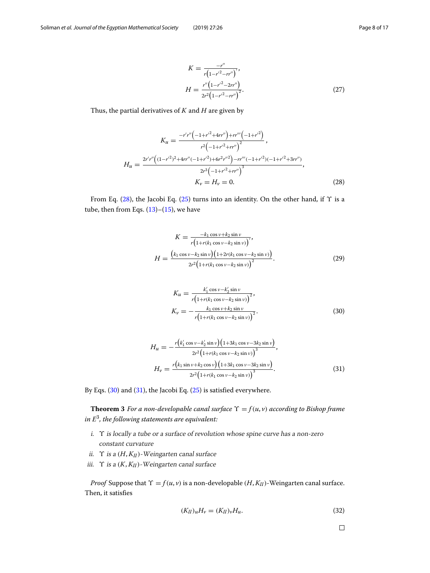<span id="page-7-3"></span>
$$
K = \frac{-r''}{r(1 - r'^2 - rr'')},
$$
  
\n
$$
H = \frac{r''(1 - r'^2 - 2rr'')}{2r^2(1 - r'^2 - rr'')^2}.
$$
\n(27)

Thus, the partial derivatives of *K* and *H* are given by

<span id="page-7-0"></span>
$$
K_{u} = \frac{-r'r''(-1+r'^{2}+4rr'') + rr'''}{r^{2}(-1+r'^{2}+rr'')} ,
$$
  
\n
$$
H_{u} = \frac{2r'r''((1-r'^{2})^{2}+4rr''(-1+r'^{2})+6r^{2}r'^{2})-rr'''(-1+r'^{2})(-1+r'^{2}+3rr'')}{2r^{3}(-1+r'^{2}+rr'')} ,
$$
  
\n
$$
K_{v} = H_{v} = 0.
$$
\n(28)

From Eq. [\(28\)](#page-7-0), the Jacobi Eq. [\(25\)](#page-6-1) turns into an identity. On the other hand, if  $\Upsilon$  is a tube, then from Eqs.  $(13)$ – $(15)$ , we have

$$
K = \frac{-k_1 \cos \nu + k_2 \sin \nu}{r \left(1 + r(k_1 \cos \nu - k_2 \sin \nu)\right)},
$$
  

$$
H = \frac{\left(k_1 \cos \nu - k_2 \sin \nu\right) \left(1 + 2r(k_1 \cos \nu - k_2 \sin \nu)\right)}{2r^2 \left(1 + r(k_1 \cos \nu - k_2 \sin \nu)\right)^2}.
$$
 (29)

<span id="page-7-1"></span>
$$
K_{u} = \frac{k'_{1} \cos \nu - k'_{2} \sin \nu}{r \left(1 + r(k_{1} \cos \nu - k_{2} \sin \nu)\right)^{2}},
$$
  
\n
$$
K_{v} = -\frac{k_{1} \cos \nu + k_{2} \sin \nu}{r \left(1 + r(k_{1} \cos \nu - k_{2} \sin \nu)\right)^{2}}.
$$
\n(30)

<span id="page-7-2"></span>
$$
H_{u} = -\frac{r(k'_{1}\cos\nu - k'_{2}\sin\nu)(1+3k_{1}\cos\nu - 3k_{2}\sin\nu)}{2r^{2}(1+r(k_{1}\cos\nu - k_{2}\sin\nu))^{3}},
$$
  
\n
$$
H_{v} = \frac{r(k_{1}\sin\nu + k_{2}\cos\nu)(1+3k_{1}\cos\nu - 3k_{2}\sin\nu)}{2r^{2}(1+r(k_{1}\cos\nu - k_{2}\sin\nu))^{3}}.
$$
\n(31)

By Eqs. [\(30\)](#page-7-1) and [\(31\)](#page-7-2), the Jacobi Eq. [\(25\)](#page-6-1) is satisfied everywhere.

**Theorem 3** *For a non-developable canal surface*  $\Upsilon = f(u, v)$  *according to Bishop frame in E*3*, the following statements are equivalent:*

- i.  $\Upsilon$  is locally a tube or a surface of revolution whose spine curve has a non-zero constant curvature
- ii. ϒ is <sup>a</sup> (*H*, *KII*)-Weingarten canal surface
- iii.  $\Upsilon$  is a  $(K, K_H)$ -Weingarten canal surface

*Proof* Suppose that  $\Upsilon = f(u, v)$  is a non-developable  $(H, K_H)$ -Weingarten canal surface. Then, it satisfies

$$
(K_{II})_{u}H_{v} = (K_{II})_{v}H_{u}.
$$
\n
$$
(32)
$$

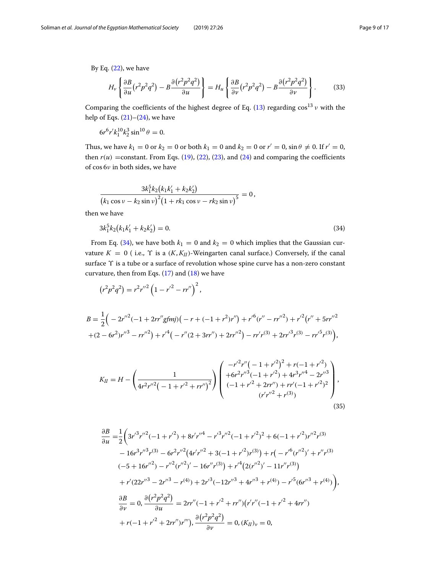By Eq.  $(22)$ , we have

$$
H_{\nu}\left\{\frac{\partial B}{\partial u}\left(r^{2}p^{2}q^{2}\right)-B\frac{\partial\left(r^{2}p^{2}q^{2}\right)}{\partial u}\right\}=H_{u}\left\{\frac{\partial B}{\partial v}\left(r^{2}p^{2}q^{2}\right)-B\frac{\partial\left(r^{2}p^{2}q^{2}\right)}{\partial v}\right\}.\tag{33}
$$

Comparing the coefficients of the highest degree of Eq. [\(13\)](#page-4-4) regarding  $\cos^{13} v$  with the help of Eqs.  $(21)–(24)$  $(21)–(24)$  $(21)–(24)$ , we have

$$
6r^6r'k_1^{10}k_2^3\sin^{10}\theta = 0.
$$

Thus, we have  $k_1 = 0$  or  $k_2 = 0$  or both  $k_1 = 0$  and  $k_2 = 0$  or  $r' = 0$ ,  $\sin \theta \neq 0$ . If  $r' = 0$ , then  $r(u)$  =constant. From Eqs. [\(19\)](#page-5-4), [\(22\)](#page-6-2), [\(23\)](#page-6-4), and [\(24\)](#page-6-3) and comparing the coefficients of cos 6ν in both sides, we have

$$
\frac{3k_1^5k_2(k_1k_1'+k_2k_2')}{(k_1\cos\nu-k_2\sin\nu)^2(1+rk_1\cos\nu-rk_2\sin\nu)^5}=0,
$$
 then we have

<span id="page-8-0"></span>
$$
3k_1^5k_2(k_1k_1'+k_2k_2')=0.\t\t(34)
$$

From Eq. [\(34\)](#page-8-0), we have both  $k_1 = 0$  and  $k_2 = 0$  which implies that the Gaussian curvature  $K = 0$  (i.e.,  $\Upsilon$  is a  $(K, K_H)$ -Weingarten canal surface.) Conversely, if the canal surface ϒ is a tube or a surface of revolution whose spine curve has a non-zero constant curvature, then from Eqs.  $(17)$  and  $(18)$  we have

$$
(r^2p^2q^2) = r^2r''^2\left(1 - r'^2 - rr''\right)^2,
$$

$$
B = \frac{1}{2} \Big( -2r''^2(-1+2rr''g\text{fmj})\big( -r+(-1+r^2)r'' \big) + r'^6(r''-rr''^2) + r'^2\big(r''+5rr''^2\big) + (2-6r^2)r''^3 - rr''^2\big) + r'^4\big( -r''(2+3rr'') + 2rr''^2\big) - rr'r^{(3)} + 2rr'^3r^{(3)} - rr'^5r^{(3)}\big),
$$

<span id="page-8-1"></span>
$$
K_{II} = H - \left(\frac{1}{4r^2r''^2\left(-1+r'^2+rr''\right)^2}\right) \begin{pmatrix} -r'^2r''\left(-1+r'^2\right)^2 + r(-1+r'^2) \\ +6r^2r''^3\left(-1+r'^2\right) + 4r^3r''^4 - 2r''^3 \\ (-1+r'^2+2rr'') + rr'(-1+r'^2)^2 \\ (r'r''^2+r^{(3)}) \end{pmatrix},\tag{35}
$$

$$
\frac{\partial B}{\partial u} = \frac{1}{2} \Big( 3r'^3 r''^2 (-1 + r'^2) + 8r'r''^4 - r'^3 r''^2 (-1 + r'^2)^2 + 6(-1 + r'^2)r''^2 r^{(3)}
$$
  
\n
$$
- 16r^3 r''^3 r^{(3)} - 6r^2 r''^2 (4r'r''^2 + 3(-1 + r'^2)r^{(3)}) + r(-r'^6 (r''^2)' + r''r^{(3)}
$$
  
\n
$$
(-5 + 16r''^2) - r''^2 (r''^2)' - 16r''r^{(3)}) + r'^4 (2(r''^2)' - 11r''r^{(3)})
$$
  
\n
$$
+ r'(22r''^3 - 2r''^3 - r^{(4)}) + 2r'^3 (-12r''^3 + 4r''^3 + r^{(4)}) - r'^5 (6r''^3 + r^{(4)})
$$
  
\n
$$
\frac{\partial B}{\partial v} = 0, \frac{\partial (r^2 p^2 q^2)}{\partial u} = 2rr''(-1 + r'^2 + rr'')(r'r''(-1 + r'^2 + 4rr'')
$$
  
\n
$$
+ r(-1 + r'^2 + 2rr'')r'''), \frac{\partial (r^2 p^2 q^2)}{\partial v} = 0, (K_{II})_v = 0,
$$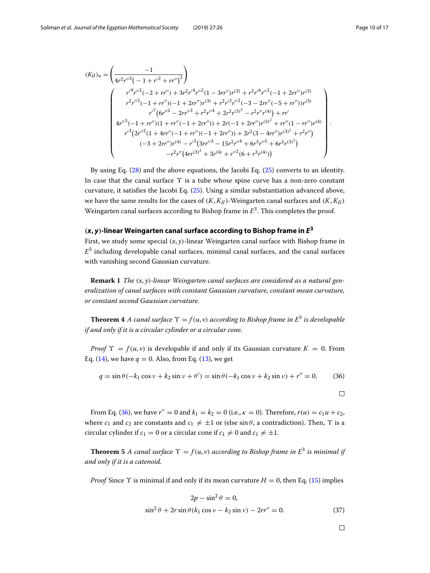.

$$
(K_{II})_{u} = \left(\frac{-1}{4r^{2}r''^{3}\left(-1+r''^{2}+rr''\right)^{2}}\right)
$$
\n
$$
\begin{pmatrix}\nr'^{9}r''^{2}\left(-2+rr''\right)+3r^{2}r'^{4}r''^{2}\left(1-3rr''\right)r^{(3)}+r^{2}r'^{6}r''^{2}\left(-1+2rr''\right)r^{(3)}\\r^{2}r''^{2}\left(-1+rr''\right)\left(-1+2rr''\right)r^{(3)}+r^{2}r'^{2}r''^{2}\left(-3-2rr''\left(-5+rr''\right)\right)r^{(3)}\\r'^{7}\left(6r''^{2}-2rr''^{3}+r^{2}r''^{4}+2r^{2}r^{(3)^{2}}-r^{2}r''r^{(4)}\right)+rr'\\4r''^{3}\left(-1+rr''\right)\left(1+rr''\left(-1+2rr''\right)\right)+2r\left(-1+2rr''\right)r^{(3)^{2}}+rr''\left(1-rr''\right)r^{(4)}\\r'^{3}\left(2r''^{2}\left(1+4rr''\left(-1+rr''\right)\left(-1+2rr''\right)\right)+2r^{2}\left(3-4rr''\right)r^{(3)^{2}}+r^{2}r''\right)\\(-3+2rr'')r^{(4)}-r^{5}\left(3rr''^{3}-15r^{2}r''^{4}+6r^{3}r''^{5}+6r^{2}r^{(3)^{2}}\right)\\-r^{2}r''\left(4rr^{(3)^{2}}+3r^{(4)}+r''^{2}\left(6+r^{3}r^{(4)})\right)\end{pmatrix}
$$

By using Eq. [\(28\)](#page-7-0) and the above equations, the Jacobi Eq. [\(25\)](#page-6-1) converts to an identity. In case that the canal surface  $\Upsilon$  is a tube whose spine curve has a non-zero constant curvature, it satisfies the Jacobi Eq. [\(25\)](#page-6-1). Using a similar substantiation advanced above, we have the same results for the cases of  $(K, K_H)$ -Weingarten canal surfaces and  $(K, K_H)$ Weingarten canal surfaces according to Bishop frame in *E*3. This completes the proof.

## $(x, y)$ -linear Weingarten canal surface according to Bishop frame in  $E<sup>3</sup>$

<span id="page-9-0"></span>First, we study some special (*x*, *y*)-linear Weingarten canal surface with Bishop frame in  $E<sup>3</sup>$  including developable canal surfaces, minimal canal surfaces, and the canal surfaces with vanishing second Gaussian curvature.

<span id="page-9-2"></span>**Remark 1** *The* (*x*, *y*)*-linear Weingarten canal surfaces are considered as a natural generalization of canal surfaces with constant Gaussian curvature, constant mean curvature, or constant second Gaussian curvature.*

**Theorem 4** *A canal surface*  $\Upsilon = f(u, v)$  *according to Bishop frame in*  $E^3$  *is developable if and only if it is a circular cylinder or a circular cone.*

*Proof*  $\Upsilon = f(u, v)$  is developable if and only if its Gaussian curvature  $K = 0$ . From Eq. [\(14\)](#page-4-6), we have  $q = 0$ . Also, from Eq. [\(13\)](#page-4-4), we get

$$
q = \sin \theta (-k_1 \cos \nu + k_2 \sin \nu + \theta') = \sin \theta (-k_1 \cos \nu + k_2 \sin \nu) + r'' = 0.
$$
 (36)

<span id="page-9-1"></span> $\Box$ 

From Eq. [\(36\)](#page-9-1), we have  $r'' = 0$  and  $k_1 = k_2 = 0$  (i.e.,  $\kappa = 0$ ). Therefore,  $r(u) = c_1 u + c_2$ , where  $c_1$  and  $c_2$  are constants and  $c_1 \neq \pm 1$  or (else  $\sin \theta$ , a contradiction). Then,  $\Upsilon$  is a circular cylinder if  $c_1 = 0$  or a circular cone if  $c_1 \neq 0$  and  $c_1 \neq \pm 1$ .

**Theorem 5** *A canal surface*  $\Upsilon = f(u, v)$  *according to Bishop frame in*  $E^3$  *is minimal if and only if it is a catenoid.*

*Proof* Since  $\Upsilon$  is minimal if and only if its mean curvature  $H = 0$ , then Eq. [\(15\)](#page-4-5) implies

<span id="page-9-3"></span>
$$
2p - \sin^2 \theta = 0,
$$
  
\n
$$
\sin^2 \theta + 2r \sin \theta (k_1 \cos \nu - k_2 \sin \nu) - 2rr'' = 0.
$$
\n(37)

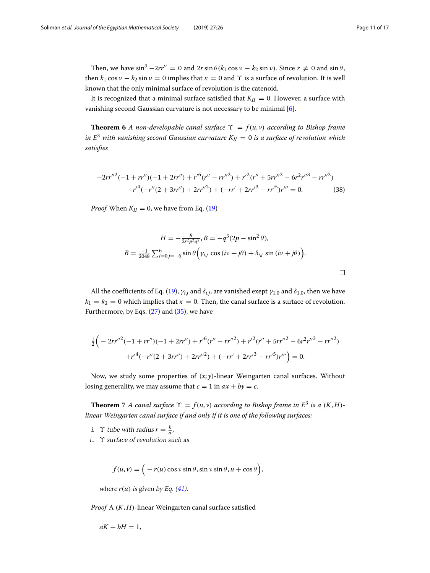Then, we have  $\sin^{\theta} -2rr'' = 0$  and  $2r \sin \theta (k_1 \cos \nu - k_2 \sin \nu)$ . Since  $r \neq 0$  and  $\sin \theta$ , then  $k_1 \cos v - k_2 \sin v = 0$  implies that  $\kappa = 0$  and  $\Upsilon$  is a surface of revolution. It is well known that the only minimal surface of revolution is the catenoid.

It is recognized that a minimal surface satisfied that  $K_{II} = 0$ . However, a surface with vanishing second Gaussian curvature is not necessary to be minimal [\[6\]](#page-16-15).

**Theorem 6** *A non-developable canal surface*  $\Upsilon = f(u, v)$  *according to Bishop frame in*  $E^3$  *with vanishing second Gaussian curvature*  $K_{II} = 0$  *is a surface of revolution which satisfies*

$$
-2rr''^{2}(-1+rr'')(-1+2rr'')+r'^{6}(r''-rr''^{2})+r'^{2}(r''+5rr''^{2}-6r^{2}r''^{3}-rr''^{2})
$$

$$
+r'^{4}(-r''(2+3rr'')+2rr''^{2})+(-rr'+2rr'^{3}-rr'^{5})r'''=0.
$$
 (38)

*Proof* When  $K_{II} = 0$ , we have from Eq. [\(19\)](#page-5-4)

$$
H = -\frac{B}{2r^2p^2q^2}, B = -q^3(2p - \sin^2\theta),
$$
  

$$
B = \frac{-1}{2048} \sum_{i=0}^{6} \sum_{j=-6}^{6} \sin\theta \left(\gamma_{i,j} \cos(i\nu + j\theta) + \delta_{i,j} \sin(i\nu + j\theta)\right).
$$

All the coefficients of Eq. [\(19\)](#page-5-4),  $\gamma_{i,j}$  and  $\delta_{i,j}$ , are vanished exept  $\gamma_{1,0}$  and  $\delta_{1,0}$ , then we have  $k_1 = k_2 = 0$  which implies that  $\kappa = 0$ . Then, the canal surface is a surface of revolution. Furthermore, by Eqs.  $(27)$  and  $(35)$ , we have

$$
\frac{1}{2}\left(-2rr''^2(-1+rr'')(-1+2rr'') + r'^6(r''-rr''^2) + r'^2(r''+5rr''^2-6r^2r''^3-rr''^2) +r'^4(-r''(2+3rr'') + 2rr''^2) + (-rr' + 2rr'^3 - rr'^5)r''' \right) = 0.
$$

Now, we study some properties of (*x*; *y*)-linear Weingarten canal surfaces. Without losing generality, we may assume that  $c = 1$  in  $ax + by = c$ .

<span id="page-10-0"></span>**Theorem** 7 *A canal surface*  $\Upsilon = f(u, v)$  *according to Bishop frame in*  $E^3$  *is a*  $(K, H)$ *linear Weingarten canal surface if and only if it is one of the following surfaces:*

- *i*.  $\Upsilon$  tube with radius  $r = \frac{b}{a}$ ,
- i.. ϒ surface of revolution such as

$$
f(u, v) = \Big( -r(u) \cos v \sin \theta, \sin v \sin \theta, u + \cos \theta \Big),
$$

where  $r(u)$  is given by Eq.  $(41)$ .

*Proof* A (*K*, *H*)-linear Weingarten canal surface satisfied

$$
aK + bH = 1,
$$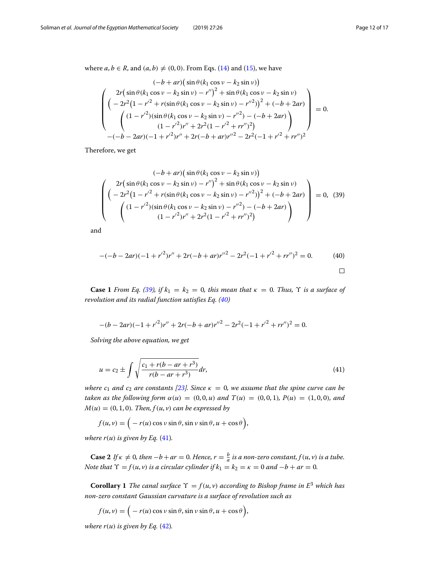where  $a, b \in R$ , and  $(a, b) \neq (0, 0)$ . From Eqs. [\(14\)](#page-4-6) and [\(15\)](#page-4-5), we have

$$
(-b + ar) \left(\sin \theta (k_1 \cos \nu - k_2 \sin \nu)\right)
$$
  

$$
\begin{pmatrix} 2r \left(\sin \theta (k_1 \cos \nu - k_2 \sin \nu) - r''\right)^2 + \sin \theta (k_1 \cos \nu - k_2 \sin \nu) \\ \left(-2r^2 \left(1 - r'^2 + r \left(\sin \theta (k_1 \cos \nu - k_2 \sin \nu) - r''^2\right)\right)^2 + (-b + 2ar) \\ \left((1 - r'^2) \left(\sin \theta (k_1 \cos \nu - k_2 \sin \nu) - r''^2\right) - (-b + 2ar)\right) \\ \left((1 - r'^2) r'' + 2r^2 \left(1 - r'^2 + rr''\right)^2\right) \\ -(-b - 2ar) (-1 + r'^2) r'' + 2r(-b + ar) r''^2 - 2r^2 (-1 + r'^2 + rr'')^2 \end{pmatrix} = 0.
$$

<span id="page-11-1"></span>Therefore, we get

$$
(-b + ar) \left(\sin \theta (k_1 \cos \nu - k_2 \sin \nu)\right)
$$
  

$$
\left(\frac{2r \left(\sin \theta (k_1 \cos \nu - k_2 \sin \nu) - r''\right)^2 + \sin \theta (k_1 \cos \nu - k_2 \sin \nu)}{\left(-2r^2 \left(1 - r'^2 + r \left(\sin \theta (k_1 \cos \nu - k_2 \sin \nu) - r''^2\right)\right)^2 + (-b + 2ar)\right)}\right) = 0, (39)
$$
  

$$
\left(\frac{(1 - r'^2)(\sin \theta (k_1 \cos \nu - k_2 \sin \nu) - r'^2) - (-b + 2ar)}{(1 - r'^2)r'' + 2r^2(1 - r'^2 + rr'')^2)}\right)
$$

<span id="page-11-2"></span>and

$$
-(-b - 2ar)(-1 + r'^2)r'' + 2r(-b + ar)r''^2 - 2r^2(-1 + r'^2 + rr'')^2 = 0.
$$
 (40)

**Case 1** *From Eq.* [\(39\)](#page-11-1), if  $k_1 = k_2 = 0$ , this mean that  $\kappa = 0$ . Thus,  $\Upsilon$  is a surface of *revolution and its radial function satisfies Eq. [\(40\)](#page-11-2)*

$$
-(b-2ar)(-1+r^2)r'' + 2r(-b+ar)r''^2 - 2r^2(-1+r^2+rr'')^2 = 0.
$$

<span id="page-11-0"></span>*Solving the above equation, we get*

$$
u = c_2 \pm \int \sqrt{\frac{c_1 + r(b - ar + r^3)}{r(b - ar + r^3)}} dr,
$$
\n(41)

*where*  $c_1$  *and*  $c_2$  *are constants* [\[23\]](#page-16-16)*. Since*  $\kappa = 0$ *, we assume that the spine curve can be taken as the following form*  $\alpha(u) = (0, 0, u)$  *and*  $T(u) = (0, 0, 1)$ *,*  $P(u) = (1, 0, 0)$ *, and*  $M(u) = (0, 1, 0)$ *. Then,*  $f(u, v)$  *can be expressed by* 

$$
f(u,v) = \Big( -r(u) \cos v \sin \theta, \sin v \sin \theta, u + \cos \theta \Big),
$$

*where r*( $u$ ) *is given by Eq.* [\(41\)](#page-11-0)*.* 

**Case 2** If  $\kappa \neq 0$ , then  $-b + ar = 0$ . Hence,  $r = \frac{b}{a}$  is a non-zero constant,  $f(u, v)$  is a tube. *Note that*  $\Upsilon = f(u, v)$  *is a circular cylinder if*  $k_1 = k_2 = \kappa = 0$  *and*  $-b + ar = 0$ *.* 

<span id="page-11-3"></span>**Corollary 1** *The canal surface*  $\Upsilon = f(u, v)$  *according to Bishop frame in*  $E^3$  *which has non-zero constant Gaussian curvature is a surface of revolution such as*

$$
f(u,v) = \Big( -r(u) \cos v \sin \theta, \sin v \sin \theta, u + \cos \theta \Big),
$$

*where r*(*u*) *is given by Eq.* [\(42\)](#page-12-0)*.*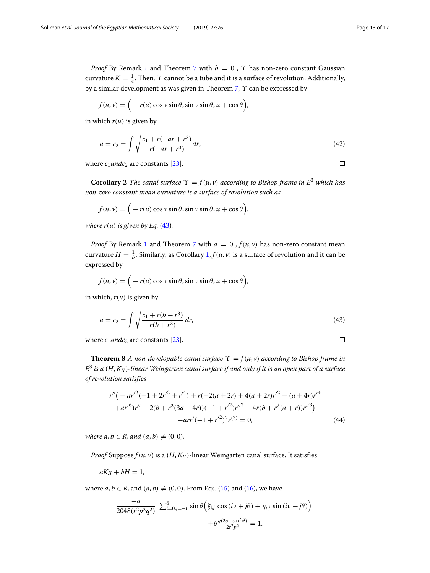$\Box$ 

 $\Box$ 

*Proof* By Remark [1](#page-9-2) and Theorem [7](#page-10-0) with  $b = 0$ ,  $\Upsilon$  has non-zero constant Gaussian curvature  $K = \frac{1}{a}$ . Then,  $\Upsilon$  cannot be a tube and it is a surface of revolution. Additionally, by a similar development as was given in Theorem [7,](#page-10-0)  $\Upsilon$  can be expressed by

<span id="page-12-0"></span>
$$
f(u,v) = \Big( -r(u) \cos v \sin \theta, \sin v \sin \theta, u + \cos \theta \Big),
$$

in which  $r(u)$  is given by

$$
u = c_2 \pm \int \sqrt{\frac{c_1 + r(-ar + r^3)}{r(-ar + r^3)}} dr,
$$
\n(42)

where  $c_1$ *andc*<sub>2</sub> are constants [\[23\]](#page-16-16).

**Corollary 2** *The canal surface*  $\Upsilon = f(u, v)$  *according to Bishop frame in*  $E^3$  *which has non-zero constant mean curvature is a surface of revolution such as*

$$
f(u,v) = \Big( -r(u) \cos v \sin \theta, \sin v \sin \theta, u + \cos \theta \Big),
$$

*where r*( $u$ ) *is given by Eq.* [\(43\)](#page-12-1)*.* 

*Proof* By Remark [1](#page-9-2) and Theorem [7](#page-10-0) with  $a = 0$ ,  $f(u, v)$  has non-zero constant mean curvature  $H = \frac{1}{b}$ . Similarly, as Corollary [1,](#page-11-3)  $f(u, v)$  is a surface of revolution and it can be expressed by

$$
f(u,v) = \Big( -r(u) \cos v \sin \theta, \sin v \sin \theta, u + \cos \theta \Big),
$$

in which, *r*(*u*) is given by

<span id="page-12-1"></span>
$$
u = c_2 \pm \int \sqrt{\frac{c_1 + r(b + r^3)}{r(b + r^3)}} \, dr,\tag{43}
$$

where  $c_1$ *andc*<sub>2</sub> are constants [\[23\]](#page-16-16).

**Theorem 8** *A non-developable canal surface*  $\Upsilon = f(u, v)$  *according to Bishop frame in E*<sup>3</sup> *is a* (*H*, *KII*)*-linear Weingarten canal surface if and only if it is an open part of a surface of revolution satisfies*

$$
r''(-ar'^{2}(-1+2r'^{2}+r'^{4})+r(-2(a+2r)+4(a+2r)r'^{2}-(a+4r)r'^{4}+ar'^{6})r''-2(b+r^{2}(3a+4r))(-1+r'^{2})r''^{2}-4r(b+r^{2}(a+r))r''^{3})
$$

$$
-arr'(-1+r'^{2})^{2}r^{(3)}=0,
$$
(44)

*where a, b*  $\in$  *R, and*  $(a, b) \neq (0, 0)$ *.* 

*Proof* Suppose  $f(u, v)$  is a  $(H, K<sub>II</sub>)$ -linear Weingarten canal surface. It satisfies

$$
aK_{II}+bH=1,
$$

where  $a, b \in R$ , and  $(a, b) \neq (0, 0)$ . From Eqs. [\(15\)](#page-4-5) and [\(16\)](#page-5-0), we have

$$
\frac{-a}{2048(r^2p^2q^2)} \sum_{i=0,j=-6}^{6} \sin \theta \left( \xi_{i,j} \cos(i\nu+j\theta) + \eta_{i,j} \sin(i\nu+j\theta) \right) + b \frac{q(2p-\sin^2\theta)}{2r^2p^2} = 1.
$$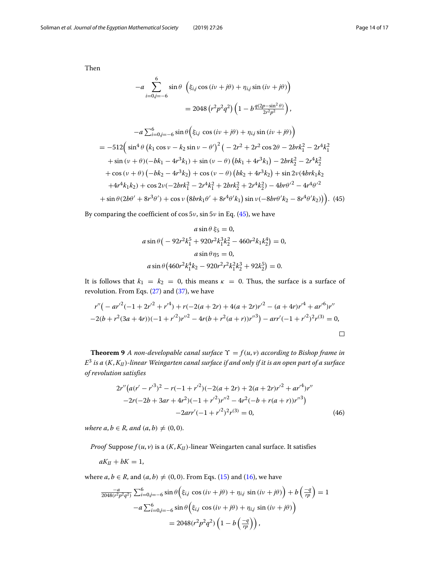6

Then

<span id="page-13-0"></span>
$$
-a \sum_{i=0,j=-6}^{6} \sin \theta \left( \xi_{i,j} \cos(i\nu+j\theta) + \eta_{i,j} \sin(i\nu+j\theta) \right)
$$
  

$$
= 2048 \left( r^2 p^2 q^2 \right) \left( 1 - b \frac{q(2p - \sin^2 \theta)}{2r^2 p^2} \right),
$$
  

$$
-a \sum_{i=0,j=-6}^{6} \sin \theta \left( \xi_{i,j} \cos(i\nu+j\theta) + \eta_{i,j} \sin(i\nu+j\theta) \right)
$$
  

$$
= -512 \left( \sin^4 \theta \left( k_1 \cos \nu - k_2 \sin \nu - \theta' \right)^2 \left( -2r^2 + 2r^2 \cos 2\theta - 2brk_1^2 - 2r^4 k_1^2 \right) \right.
$$
  

$$
+ \sin (\nu + \theta) (-bk_1 - 4r^3 k_1) + \sin (\nu - \theta) \left( bk_1 + 4r^3 k_1 \right) - 2brk_2^2 - 2r^4 k_2^2 \right.
$$
  

$$
+ \cos (\nu + \theta) \left( -bk_2 - 4r^3 k_2 \right) + \cos (\nu - \theta) \left( bk_2 + 4r^3 k_2 \right) + \sin 2\nu (4brk_1 k_2 + 4r^4 k_1 k_2) + \cos 2\nu (-2brk_1^2 - 2r^4 k_1^2 + 2brk_2^2 + 2r^4 k_2^2) - 4br\theta'^2 - 4r^4 \theta'^2
$$
  

$$
+ \sin \theta (2b\theta' + 8r^3\theta') + \cos \nu \left( 8brk_1 \theta' + 8r^4\theta' k_1 \right) \sin \nu (-8br\theta' k_2 - 8r^4\theta' k_2) \right). \tag{45}
$$

By comparing the coefficient of cos  $5v$ , sin  $5v$  in Eq. [\(45\)](#page-13-0), we have

$$
a \sin \theta \xi_5 = 0,
$$
  
\n
$$
a \sin \theta \left( -92r^2 k_1^5 + 920r^2 k_1^3 k_2^2 - 460r^2 k_1 k_2^4 \right) = 0,
$$
  
\n
$$
a \sin \theta \eta_5 = 0,
$$
  
\n
$$
a \sin \theta \left( 460r^2 k_1^4 k_2 - 920r^2 r^2 k_1^2 k_2^3 + 92k_2^5 \right) = 0.
$$

It is follows that  $k_1 = k_2 = 0$ , this means  $\kappa = 0$ . Thus, the surface is a surface of revolution. From Eqs. [\(27\)](#page-7-3) and [\(37\)](#page-9-3), we have

$$
r''(-ar'^{2}(-1+2r'^{2}+r'^{4})+r(-2(a+2r)+4(a+2r)r'^{2}-(a+4r)r'^{4}+ar'^{6})r''
$$
  
-2(b+r<sup>2</sup>(3a+4r))(-1+r'<sup>2</sup>)r'<sup>2</sup> - 4r(b+r<sup>2</sup>(a+r))r'<sup>3</sup>) - arr'(-1+r'<sup>2</sup>)<sup>2</sup>r<sup>(3)</sup> = 0,

**Theorem 9** *A non-developable canal surface*  $\Upsilon = f(u, v)$  *according to Bishop frame in E*<sup>3</sup> *is a* (*K*, *KII*)*-linear Weingarten canal surface if and only if it is an open part of a surface of revolution satisfies*

$$
2r''\left(a(r'-r'^3)^2 - r(-1+r'^2)(-2(a+2r) + 2(a+2r)r'^2 + ar'^4)r'' -2r(-2b+3ar+4r^2)(-1+r'^2)r''^2 - 4r^2(-b+r(a+r))r''^3\right) - 2arr'(-1+r'^2)^2r^{(3)} = 0,
$$
\n(46)

*where a, b*  $\in$  *R, and*  $(a, b) \neq (0, 0)$ *.* 

*Proof* Suppose  $f(u, v)$  is a  $(K, K<sub>II</sub>)$ -linear Weingarten canal surface. It satisfies

 $aK_{II} + bK = 1$ ,

where  $a, b \in R$ , and  $(a, b) \neq (0, 0)$ . From Eqs. [\(15\)](#page-4-5) and [\(16\)](#page-5-0), we have

$$
\frac{-a}{2048(r^2p^2q^2)}\sum_{i=0,j=-6}^{6} \sin\theta \left(\xi_{i,j}\cos\left(i\nu+j\theta\right) + \eta_{i,j}\sin\left(i\nu+j\theta\right)\right) + b\left(\frac{-q}{rp}\right) = 1
$$

$$
-a\sum_{i=0,j=-6}^{6} \sin\theta \left(\xi_{i,j}\cos\left(i\nu+j\theta\right) + \eta_{i,j}\sin\left(i\nu+j\theta\right)\right)
$$

$$
= 2048(r^2p^2q^2)\left(1 - b\left(\frac{-q}{rp}\right)\right),
$$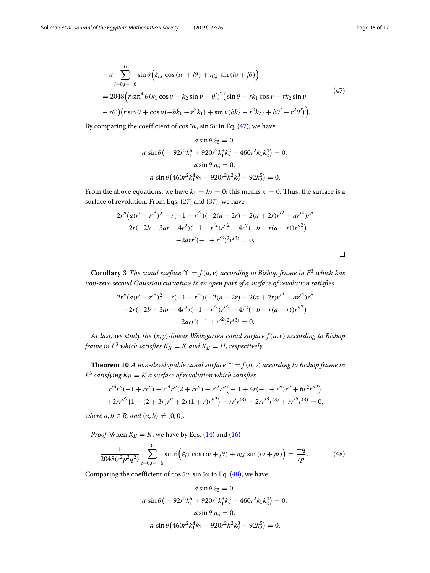<span id="page-14-0"></span>
$$
- a \sum_{i=0,j=-6}^{6} \sin \theta \Big( \xi_{i,j} \cos (iv + j\theta) + \eta_{i,j} \sin (iv + j\theta) \Big)
$$
  
= 2048 \Big( r \sin^4 \theta (k\_1 \cos v - k\_2 \sin v - \theta')^2 \Big( \sin \theta + r k\_1 \cos v - r k\_2 \sin v  
- r\theta' \Big) \Big( r \sin \theta + \cos v (-bk\_1 + r^2 k\_1) + \sin v (bk\_2 - r^2 k\_2) + b\theta' - r^2 \theta' \Big) \Big). (47)

By comparing the coefficient of cos  $5v$ , sin  $5v$  in Eq. [\(47\)](#page-14-0), we have

$$
a \sin \theta \xi_5 = 0,
$$
  
\n
$$
a \sin \theta \left( -92r^2 k_1^5 + 920r^2 k_1^3 k_2^2 - 460r^2 k_1 k_2^4 \right) = 0,
$$
  
\n
$$
a \sin \theta \eta_5 = 0,
$$
  
\n
$$
a \sin \theta \left( 460r^2 k_1^4 k_2 - 920r^2 k_1^2 k_2^3 + 92k_2^5 \right) = 0.
$$

From the above equations, we have  $k_1 = k_2 = 0$ ; this means  $\kappa = 0$ . Thus, the surface is a surface of revolution. From Eqs. [\(27\)](#page-7-3) and [\(37\)](#page-9-3), we have

$$
2r''\left(a(r'-r'^3)^2 - r(-1+r'^2)(-2(a+2r) + 2(a+2r)r'^2 + ar'^4)r'' -2r(-2b+3ar+4r^2)(-1+r'^2)r''^2 - 4r^2(-b+r(a+r))r'^3\right) - 2arr'(-1+r'^2)^2r^{(3)} = 0.
$$

 $\Box$ 

**Corollary 3** *The canal surface*  $\Upsilon = f(u, v)$  *according to Bishop frame in*  $E^3$  *which has non-zero second Gaussian curvature is an open part of a surface of revolution satisfies*

$$
2r''\left(a(r'-r'^3)^2 - r(-1+r'^2)(-2(a+2r) + 2(a+2r)r'^2 + ar'^4)r'' -2r(-2b+3ar+4r^2)(-1+r'^2)r''^2 - 4r^2(-b+r(a+r))r''^3\right) - 2arr'(-1+r'^2)^2r^{(3)} = 0.
$$

*At last, we study the* (*x*, *y*)*-linear Weingarten canal surface f* (*u*, *v*) *according to Bishop frame in*  $E^3$  *which satisfies*  $K_{II} = K$  *and*  $K_{II} = H$ *, respectively.* 

**Theorem 10** *A non-developable canal surface*  $\Upsilon = f(u, v)$  *according to Bishop frame in*  $E^3$  *satisfying*  $K_{II} = K$  *a surface of revolution which satisfies* 

$$
r'^{6}r''(-1+rr'')+r'^{4}r''(2+rr'')+r'^{2}r''(-1+4r(-1+r'')r''+6r^{2}r''^{2})
$$
  
+2rr''<sup>2</sup>(1-(2+3r)r''+2r(1+r)r''^{2})+rr'r^{(3)}-2rr'^{3}r^{(3)}+rr'^{5}r^{(3)}=0,

 $where \, a, b \in R, \, and \, (a, b) \neq (0, 0).$ 

*Proof* When  $K_{II} = K$ , we have by Eqs. [\(14\)](#page-4-6) and [\(16\)](#page-5-0)

$$
\frac{1}{2048(r^2p^2q^2)}\sum_{i=0,j=-6}^{6} \sin\theta \left(\xi_{i,j}\cos(i\nu+j\theta) + \eta_{i,j}\sin(i\nu+j\theta)\right) = \frac{-q}{rp}.\tag{48}
$$

Comparing the coefficient of cos  $5v$ , sin  $5v$  in Eq. [\(48\)](#page-14-1), we have

<span id="page-14-1"></span>
$$
a \sin \theta \xi_5 = 0,
$$
  
\n
$$
a \sin \theta \left( -92r^2 k_1^5 + 920r^2 k_1^3 k_2^2 - 460r^2 k_1 k_2^4 \right) = 0,
$$
  
\n
$$
a \sin \theta \eta_5 = 0,
$$
  
\n
$$
a \sin \theta \left( 460r^2 k_1^4 k_2 - 920r^2 k_1^2 k_2^3 + 92k_2^5 \right) = 0.
$$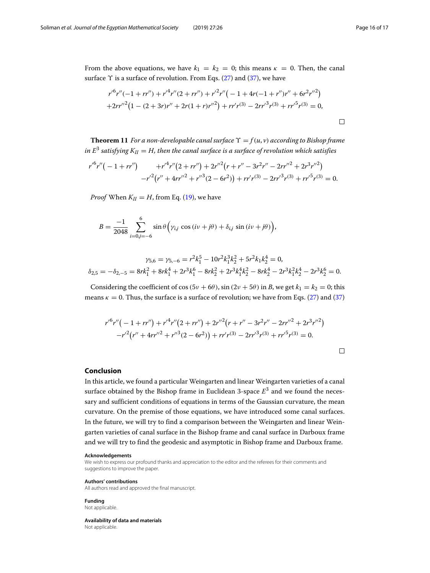From the above equations, we have  $k_1 = k_2 = 0$ ; this means  $\kappa = 0$ . Then, the canal surface  $\Upsilon$  is a surface of revolution. From Eqs. [\(27\)](#page-7-3) and [\(37\)](#page-9-3), we have

$$
r'^{6}r''(-1+rr'')+r'^{4}r''(2+rr'')+r'^{2}r''(-1+4r(-1+r'')r''+6r^{2}r''^{2})
$$
  
+2rr''^{2}(1-(2+3r)r''+2r(1+r)r''^{2})+rr'r^{(3)}-2rr'^{3}r^{(3)}+rr'^{5}r^{(3)}=0,

**Theorem 11** *For a non-developable canal surface*  $\Upsilon = f(u, v)$  *according to Bishop frame in*  $E^3$  *satisfying*  $K_{II} = H$ *, then the canal surface is a surface of revolution which satisfies* 

$$
r'^{6}r''(-1+rr'') + r'^{4}r''(2+rr'')+2r''^{2}(r+r''-3r^{2}r''-2rr''^{2}+2r^{3}r''^{2})
$$
  

$$
-r'^{2}(r''+4rr''^{2}+r''^{3}(2-6r^{2}))+rr'r^{(3)}-2rr'^{3}r^{(3)}+rr'^{5}r^{(3)}=0.
$$

*Proof* When  $K_{II} = H$ , from Eq. [\(19\)](#page-5-4), we have

$$
B = \frac{-1}{2048} \sum_{i=0,j=-6}^{6} \sin \theta \left( \gamma_{i,j} \cos (iv + j\theta) + \delta_{i,j} \sin (iv + j\theta) \right),
$$

$$
\gamma_{5,6} = \gamma_{5,-6} = r^2 k_1^5 - 10r^2 k_1^3 k_2^2 + 5r^2 k_1 k_2^4 = 0,
$$
  

$$
\delta_{2,5} = -\delta_{2,-5} = 8rk_1^2 + 8rk_1^4 + 2r^3 k_1^6 - 8rk_2^2 + 2r^3 k_1^4 k_2^2 - 8rk_2^4 - 2r^3 k_1^2 k_2^4 - 2r^3 k_2^6 = 0.
$$

Considering the coefficient of cos (5 $\nu$  + 6 $\theta$ ), sin (2 $\nu$  + 5 $\theta$ ) in *B*, we get  $k_1 = k_2 = 0$ ; this means  $\kappa = 0$ . Thus, the surface is a surface of revolution; we have from Eqs. [\(27\)](#page-7-3) and [\(37\)](#page-9-3)

$$
r'^{6}r''(-1+rr'') + r'^{4}r''(2+rr'') + 2r''^{2}(r+r'' - 3r^{2}r'' - 2rr''^{2} + 2r^{3}r''^{2})
$$
  

$$
-r'^{2}(r'' + 4rr''^{2} + r''^{3}(2-6r^{2})) + rr'r^{(3)} - 2rr'^{3}r^{(3)} + rr'^{5}r^{(3)} = 0.
$$

## **Conclusion**

In this article, we found a particular Weingarten and linear Weingarten varieties of a canal surface obtained by the Bishop frame in Euclidean 3-space  $E<sup>3</sup>$  and we found the necessary and sufficient conditions of equations in terms of the Gaussian curvature, the mean curvature. On the premise of those equations, we have introduced some canal surfaces. In the future, we will try to find a comparison between the Weingarten and linear Weingarten varieties of canal surface in the Bishop frame and canal surface in Darboux frame and we will try to find the geodesic and asymptotic in Bishop frame and Darboux frame.

#### **Acknowledgements**

We wish to express our profound thanks and appreciation to the editor and the referees for their comments and suggestions to improve the paper.

#### **Authors' contributions**

All authors read and approved the final manuscript.

**Funding** Not applicable.

**Availability of data and materials** Not applicable.